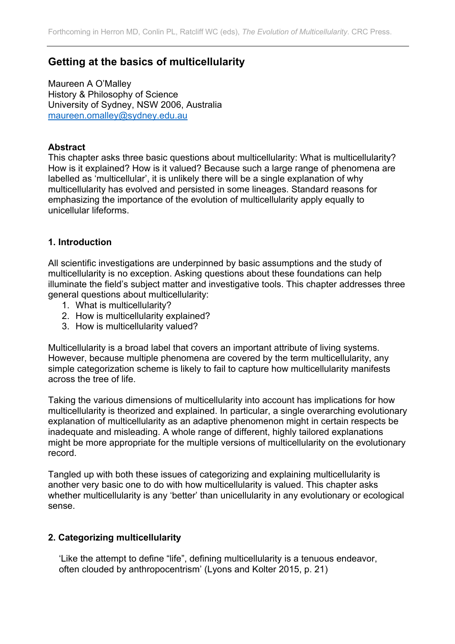# **Getting at the basics of multicellularity**

Maureen A O'Malley History & Philosophy of Science University of Sydney, NSW 2006, Australia maureen.omalley@sydney.edu.au

#### **Abstract**

This chapter asks three basic questions about multicellularity: What is multicellularity? How is it explained? How is it valued? Because such a large range of phenomena are labelled as 'multicellular', it is unlikely there will be a single explanation of why multicellularity has evolved and persisted in some lineages. Standard reasons for emphasizing the importance of the evolution of multicellularity apply equally to unicellular lifeforms.

#### **1. Introduction**

All scientific investigations are underpinned by basic assumptions and the study of multicellularity is no exception. Asking questions about these foundations can help illuminate the field's subject matter and investigative tools. This chapter addresses three general questions about multicellularity:

- 1. What is multicellularity?
- 2. How is multicellularity explained?
- 3. How is multicellularity valued?

Multicellularity is a broad label that covers an important attribute of living systems. However, because multiple phenomena are covered by the term multicellularity, any simple categorization scheme is likely to fail to capture how multicellularity manifests across the tree of life.

Taking the various dimensions of multicellularity into account has implications for how multicellularity is theorized and explained. In particular, a single overarching evolutionary explanation of multicellularity as an adaptive phenomenon might in certain respects be inadequate and misleading. A whole range of different, highly tailored explanations might be more appropriate for the multiple versions of multicellularity on the evolutionary record.

Tangled up with both these issues of categorizing and explaining multicellularity is another very basic one to do with how multicellularity is valued. This chapter asks whether multicellularity is any 'better' than unicellularity in any evolutionary or ecological sense.

#### **2. Categorizing multicellularity**

'Like the attempt to define "life", defining multicellularity is a tenuous endeavor, often clouded by anthropocentrism' (Lyons and Kolter 2015, p. 21)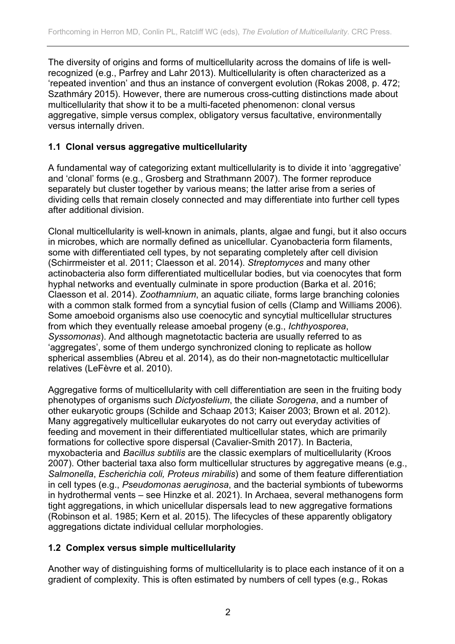The diversity of origins and forms of multicellularity across the domains of life is wellrecognized (e.g., Parfrey and Lahr 2013). Multicellularity is often characterized as a 'repeated invention' and thus an instance of convergent evolution (Rokas 2008, p. 472; Szathmáry 2015). However, there are numerous cross-cutting distinctions made about multicellularity that show it to be a multi-faceted phenomenon: clonal versus aggregative, simple versus complex, obligatory versus facultative, environmentally versus internally driven.

### **1.1 Clonal versus aggregative multicellularity**

A fundamental way of categorizing extant multicellularity is to divide it into 'aggregative' and 'clonal' forms (e.g., Grosberg and Strathmann 2007). The former reproduce separately but cluster together by various means; the latter arise from a series of dividing cells that remain closely connected and may differentiate into further cell types after additional division.

Clonal multicellularity is well-known in animals, plants, algae and fungi, but it also occurs in microbes, which are normally defined as unicellular. Cyanobacteria form filaments, some with differentiated cell types, by not separating completely after cell division (Schirrmeister et al. 2011; Claesson et al. 2014). *Streptomyces* and many other actinobacteria also form differentiated multicellular bodies, but via coenocytes that form hyphal networks and eventually culminate in spore production (Barka et al. 2016; Claesson et al. 2014). *Zoothamnium*, an aquatic ciliate, forms large branching colonies with a common stalk formed from a syncytial fusion of cells (Clamp and Williams 2006). Some amoeboid organisms also use coenocytic and syncytial multicellular structures from which they eventually release amoebal progeny (e.g., *Ichthyosporea*, *Syssomonas*). And although magnetotactic bacteria are usually referred to as 'aggregates', some of them undergo synchronized cloning to replicate as hollow spherical assemblies (Abreu et al. 2014), as do their non-magnetotactic multicellular relatives (LeFèvre et al. 2010).

Aggregative forms of multicellularity with cell differentiation are seen in the fruiting body phenotypes of organisms such *Dictyostelium*, the ciliate *Sorogena*, and a number of other eukaryotic groups (Schilde and Schaap 2013; Kaiser 2003; Brown et al. 2012). Many aggregatively multicellular eukaryotes do not carry out everyday activities of feeding and movement in their differentiated multicellular states, which are primarily formations for collective spore dispersal (Cavalier-Smith 2017). In Bacteria, myxobacteria and *Bacillus subtilis* are the classic exemplars of multicellularity (Kroos 2007). Other bacterial taxa also form multicellular structures by aggregative means (e.g., *Salmonella*, *Escherichia coli, Proteus mirabilis*) and some of them feature differentiation in cell types (e.g., *Pseudomonas aeruginosa*, and the bacterial symbionts of tubeworms in hydrothermal vents – see Hinzke et al. 2021). In Archaea, several methanogens form tight aggregations, in which unicellular dispersals lead to new aggregative formations (Robinson et al. 1985; Kern et al. 2015). The lifecycles of these apparently obligatory aggregations dictate individual cellular morphologies.

# **1.2 Complex versus simple multicellularity**

Another way of distinguishing forms of multicellularity is to place each instance of it on a gradient of complexity. This is often estimated by numbers of cell types (e.g., Rokas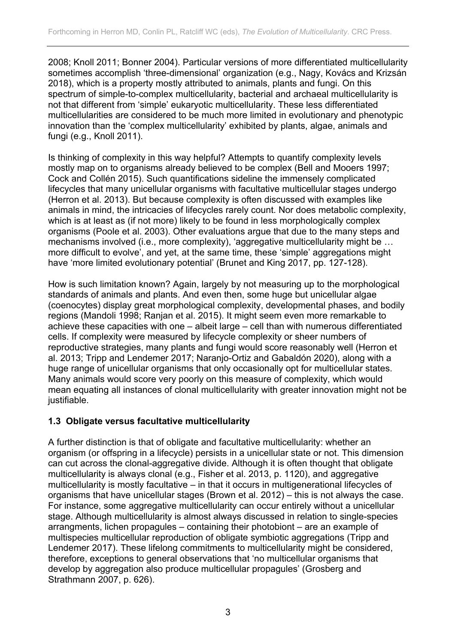2008; Knoll 2011; Bonner 2004). Particular versions of more differentiated multicellularity sometimes accomplish 'three-dimensional' organization (e.g., Nagy, Kovács and Krizsán 2018), which is a property mostly attributed to animals, plants and fungi. On this spectrum of simple-to-complex multicellularity, bacterial and archaeal multicellularity is not that different from 'simple' eukaryotic multicellularity. These less differentiated multicellularities are considered to be much more limited in evolutionary and phenotypic innovation than the 'complex multicellularity' exhibited by plants, algae, animals and fungi (e.g., Knoll 2011).

Is thinking of complexity in this way helpful? Attempts to quantify complexity levels mostly map on to organisms already believed to be complex (Bell and Mooers 1997; Cock and Collén 2015). Such quantifications sideline the immensely complicated lifecycles that many unicellular organisms with facultative multicellular stages undergo (Herron et al. 2013). But because complexity is often discussed with examples like animals in mind, the intricacies of lifecycles rarely count. Nor does metabolic complexity, which is at least as (if not more) likely to be found in less morphologically complex organisms (Poole et al. 2003). Other evaluations argue that due to the many steps and mechanisms involved (i.e., more complexity), 'aggregative multicellularity might be … more difficult to evolve', and yet, at the same time, these 'simple' aggregations might have 'more limited evolutionary potential' (Brunet and King 2017, pp. 127-128).

How is such limitation known? Again, largely by not measuring up to the morphological standards of animals and plants. And even then, some huge but unicellular algae (coenocytes) display great morphological complexity, developmental phases, and bodily regions (Mandoli 1998; Ranjan et al. 2015). It might seem even more remarkable to achieve these capacities with one – albeit large – cell than with numerous differentiated cells. If complexity were measured by lifecycle complexity or sheer numbers of reproductive strategies, many plants and fungi would score reasonably well (Herron et al. 2013; Tripp and Lendemer 2017; Naranjo-Ortiz and Gabaldón 2020), along with a huge range of unicellular organisms that only occasionally opt for multicellular states. Many animals would score very poorly on this measure of complexity, which would mean equating all instances of clonal multicellularity with greater innovation might not be justifiable.

### **1.3 Obligate versus facultative multicellularity**

A further distinction is that of obligate and facultative multicellularity: whether an organism (or offspring in a lifecycle) persists in a unicellular state or not. This dimension can cut across the clonal-aggregative divide. Although it is often thought that obligate multicellularity is always clonal (e.g., Fisher et al. 2013, p. 1120), and aggregative multicellularity is mostly facultative – in that it occurs in multigenerational lifecycles of organisms that have unicellular stages (Brown et al. 2012) – this is not always the case. For instance, some aggregative multicellularity can occur entirely without a unicellular stage. Although multicellularity is almost always discussed in relation to single-species arrangments, lichen propagules – containing their photobiont – are an example of multispecies multicellular reproduction of obligate symbiotic aggregations (Tripp and Lendemer 2017). These lifelong commitments to multicellularity might be considered, therefore, exceptions to general observations that 'no multicellular organisms that develop by aggregation also produce multicellular propagules' (Grosberg and Strathmann 2007, p. 626).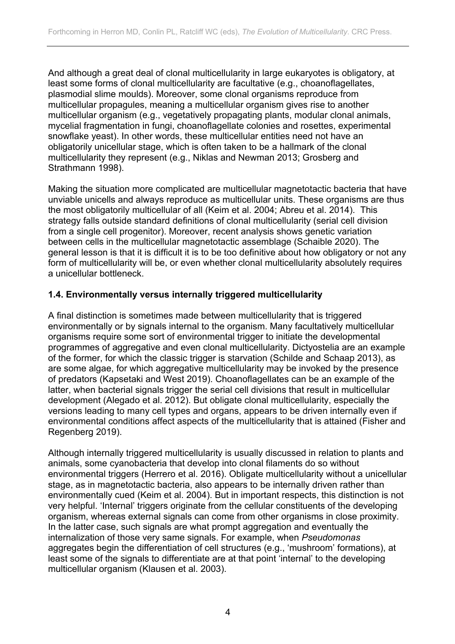And although a great deal of clonal multicellularity in large eukaryotes is obligatory, at least some forms of clonal multicellularity are facultative (e.g., choanoflagellates, plasmodial slime moulds). Moreover, some clonal organisms reproduce from multicellular propagules, meaning a multicellular organism gives rise to another multicellular organism (e.g., vegetatively propagating plants, modular clonal animals, mycelial fragmentation in fungi, choanoflagellate colonies and rosettes, experimental snowflake yeast). In other words, these multicellular entities need not have an obligatorily unicellular stage, which is often taken to be a hallmark of the clonal multicellularity they represent (e.g., Niklas and Newman 2013; Grosberg and Strathmann 1998).

Making the situation more complicated are multicellular magnetotactic bacteria that have unviable unicells and always reproduce as multicellular units. These organisms are thus the most obligatorily multicellular of all (Keim et al. 2004; Abreu et al. 2014). This strategy falls outside standard definitions of clonal multicellularity (serial cell division from a single cell progenitor). Moreover, recent analysis shows genetic variation between cells in the multicellular magnetotactic assemblage (Schaible 2020). The general lesson is that it is difficult it is to be too definitive about how obligatory or not any form of multicellularity will be, or even whether clonal multicellularity absolutely requires a unicellular bottleneck.

### **1.4. Environmentally versus internally triggered multicellularity**

A final distinction is sometimes made between multicellularity that is triggered environmentally or by signals internal to the organism. Many facultatively multicellular organisms require some sort of environmental trigger to initiate the developmental programmes of aggregative and even clonal multicellularity. Dictyostelia are an example of the former, for which the classic trigger is starvation (Schilde and Schaap 2013), as are some algae, for which aggregative multicellularity may be invoked by the presence of predators (Kapsetaki and West 2019). Choanoflagellates can be an example of the latter, when bacterial signals trigger the serial cell divisions that result in multicellular development (Alegado et al. 2012). But obligate clonal multicellularity, especially the versions leading to many cell types and organs, appears to be driven internally even if environmental conditions affect aspects of the multicellularity that is attained (Fisher and Regenberg 2019).

Although internally triggered multicellularity is usually discussed in relation to plants and animals, some cyanobacteria that develop into clonal filaments do so without environmental triggers (Herrero et al. 2016). Obligate multicellularity without a unicellular stage, as in magnetotactic bacteria, also appears to be internally driven rather than environmentally cued (Keim et al. 2004). But in important respects, this distinction is not very helpful. 'Internal' triggers originate from the cellular constituents of the developing organism, whereas external signals can come from other organisms in close proximity. In the latter case, such signals are what prompt aggregation and eventually the internalization of those very same signals. For example, when *Pseudomonas* aggregates begin the differentiation of cell structures (e.g., 'mushroom' formations), at least some of the signals to differentiate are at that point 'internal' to the developing multicellular organism (Klausen et al. 2003).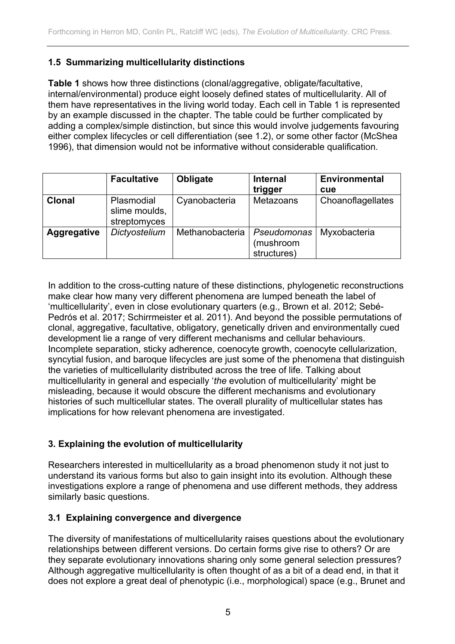## **1.5 Summarizing multicellularity distinctions**

**Table 1** shows how three distinctions (clonal/aggregative, obligate/facultative, internal/environmental) produce eight loosely defined states of multicellularity. All of them have representatives in the living world today. Each cell in Table 1 is represented by an example discussed in the chapter. The table could be further complicated by adding a complex/simple distinction, but since this would involve judgements favouring either complex lifecycles or cell differentiation (see 1.2), or some other factor (McShea 1996), that dimension would not be informative without considerable qualification.

|                    | <b>Facultative</b>                          | <b>Obligate</b> | <b>Internal</b><br>trigger              | <b>Environmental</b><br>cue |
|--------------------|---------------------------------------------|-----------------|-----------------------------------------|-----------------------------|
| <b>Clonal</b>      | Plasmodial<br>slime moulds,<br>streptomyces | Cyanobacteria   | Metazoans                               | Choanoflagellates           |
| <b>Aggregative</b> | Dictyostelium                               | Methanobacteria | Pseudomonas<br>(mushroom<br>structures) | Myxobacteria                |

In addition to the cross-cutting nature of these distinctions, phylogenetic reconstructions make clear how many very different phenomena are lumped beneath the label of 'multicellularity', even in close evolutionary quarters (e.g., Brown et al. 2012; Sebé-Pedrós et al. 2017; Schirrmeister et al. 2011). And beyond the possible permutations of clonal, aggregative, facultative, obligatory, genetically driven and environmentally cued development lie a range of very different mechanisms and cellular behaviours. Incomplete separation, sticky adherence, coenocyte growth, coenocyte cellularization, syncytial fusion, and baroque lifecycles are just some of the phenomena that distinguish the varieties of multicellularity distributed across the tree of life. Talking about multicellularity in general and especially '*the* evolution of multicellularity' might be misleading, because it would obscure the different mechanisms and evolutionary histories of such multicellular states. The overall plurality of multicellular states has implications for how relevant phenomena are investigated.

# **3. Explaining the evolution of multicellularity**

Researchers interested in multicellularity as a broad phenomenon study it not just to understand its various forms but also to gain insight into its evolution. Although these investigations explore a range of phenomena and use different methods, they address similarly basic questions.

### **3.1 Explaining convergence and divergence**

The diversity of manifestations of multicellularity raises questions about the evolutionary relationships between different versions. Do certain forms give rise to others? Or are they separate evolutionary innovations sharing only some general selection pressures? Although aggregative multicellularity is often thought of as a bit of a dead end, in that it does not explore a great deal of phenotypic (i.e., morphological) space (e.g., Brunet and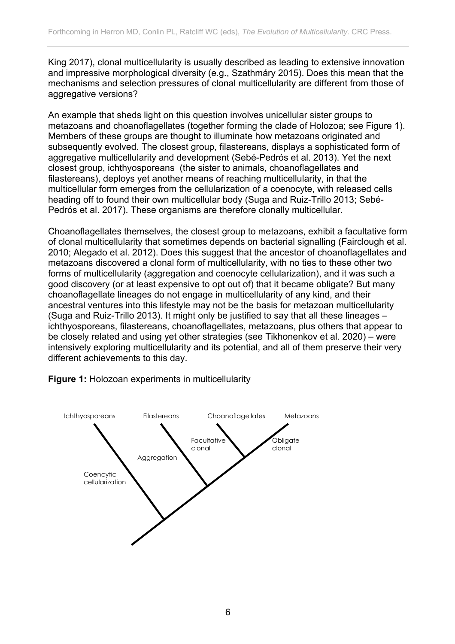King 2017), clonal multicellularity is usually described as leading to extensive innovation and impressive morphological diversity (e.g., Szathmáry 2015). Does this mean that the mechanisms and selection pressures of clonal multicellularity are different from those of aggregative versions?

An example that sheds light on this question involves unicellular sister groups to metazoans and choanoflagellates (together forming the clade of Holozoa; see Figure 1). Members of these groups are thought to illuminate how metazoans originated and subsequently evolved. The closest group, filastereans, displays a sophisticated form of aggregative multicellularity and development (Sebé-Pedrós et al. 2013). Yet the next closest group, ichthyosporeans (the sister to animals, choanoflagellates and filastereans), deploys yet another means of reaching multicellularity, in that the multicellular form emerges from the cellularization of a coenocyte, with released cells heading off to found their own multicellular body (Suga and Ruiz-Trillo 2013; Sebé-Pedrós et al. 2017). These organisms are therefore clonally multicellular.

Choanoflagellates themselves, the closest group to metazoans, exhibit a facultative form of clonal multicellularity that sometimes depends on bacterial signalling (Fairclough et al. 2010; Alegado et al. 2012). Does this suggest that the ancestor of choanoflagellates and metazoans discovered a clonal form of multicellularity, with no ties to these other two forms of multicellularity (aggregation and coenocyte cellularization), and it was such a good discovery (or at least expensive to opt out of) that it became obligate? But many choanoflagellate lineages do not engage in multicellularity of any kind, and their ancestral ventures into this lifestyle may not be the basis for metazoan multicellularity (Suga and Ruiz-Trillo 2013). It might only be justified to say that all these lineages – ichthyosporeans, filastereans, choanoflagellates, metazoans, plus others that appear to be closely related and using yet other strategies (see Tikhonenkov et al. 2020) – were intensively exploring multicellularity and its potential, and all of them preserve their very different achievements to this day.



**Figure 1:** Holozoan experiments in multicellularity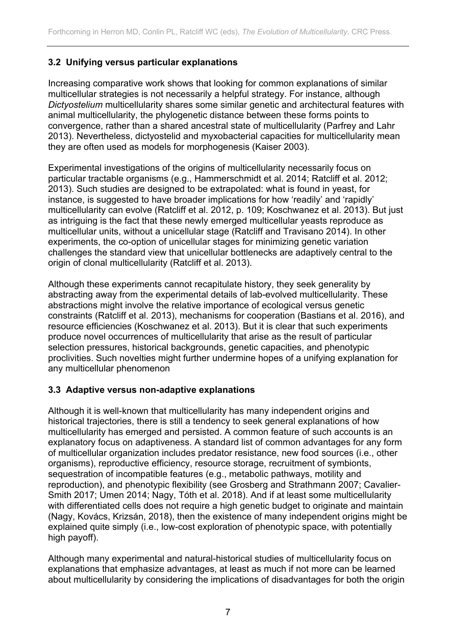# **3.2 Unifying versus particular explanations**

Increasing comparative work shows that looking for common explanations of similar multicellular strategies is not necessarily a helpful strategy. For instance, although *Dictyostelium* multicellularity shares some similar genetic and architectural features with animal multicellularity, the phylogenetic distance between these forms points to convergence, rather than a shared ancestral state of multicellularity (Parfrey and Lahr 2013). Nevertheless, dictyostelid and myxobacterial capacities for multicellularity mean they are often used as models for morphogenesis (Kaiser 2003).

Experimental investigations of the origins of multicellularity necessarily focus on particular tractable organisms (e.g., Hammerschmidt et al. 2014; Ratcliff et al. 2012; 2013). Such studies are designed to be extrapolated: what is found in yeast, for instance, is suggested to have broader implications for how 'readily' and 'rapidly' multicellularity can evolve (Ratcliff et al. 2012, p. 109; Koschwanez et al. 2013). But just as intriguing is the fact that these newly emerged multicellular yeasts reproduce as multicellular units, without a unicellular stage (Ratcliff and Travisano 2014). In other experiments, the co-option of unicellular stages for minimizing genetic variation challenges the standard view that unicellular bottlenecks are adaptively central to the origin of clonal multicellularity (Ratcliff et al. 2013).

Although these experiments cannot recapitulate history, they seek generality by abstracting away from the experimental details of lab-evolved multicellularity. These abstractions might involve the relative importance of ecological versus genetic constraints (Ratcliff et al. 2013), mechanisms for cooperation (Bastians et al. 2016), and resource efficiencies (Koschwanez et al. 2013). But it is clear that such experiments produce novel occurrences of multicellularity that arise as the result of particular selection pressures, historical backgrounds, genetic capacities, and phenotypic proclivities. Such novelties might further undermine hopes of a unifying explanation for any multicellular phenomenon

### **3.3 Adaptive versus non-adaptive explanations**

Although it is well-known that multicellularity has many independent origins and historical trajectories, there is still a tendency to seek general explanations of how multicellularity has emerged and persisted. A common feature of such accounts is an explanatory focus on adaptiveness. A standard list of common advantages for any form of multicellular organization includes predator resistance, new food sources (i.e., other organisms), reproductive efficiency, resource storage, recruitment of symbionts, sequestration of incompatible features (e.g., metabolic pathways, motility and reproduction), and phenotypic flexibility (see Grosberg and Strathmann 2007; Cavalier-Smith 2017; Umen 2014; Nagy, Tóth et al. 2018). And if at least some multicellularity with differentiated cells does not require a high genetic budget to originate and maintain (Nagy, Kovács, Krizsán, 2018), then the existence of many independent origins might be explained quite simply (i.e., low-cost exploration of phenotypic space, with potentially high payoff).

Although many experimental and natural-historical studies of multicellularity focus on explanations that emphasize advantages, at least as much if not more can be learned about multicellularity by considering the implications of disadvantages for both the origin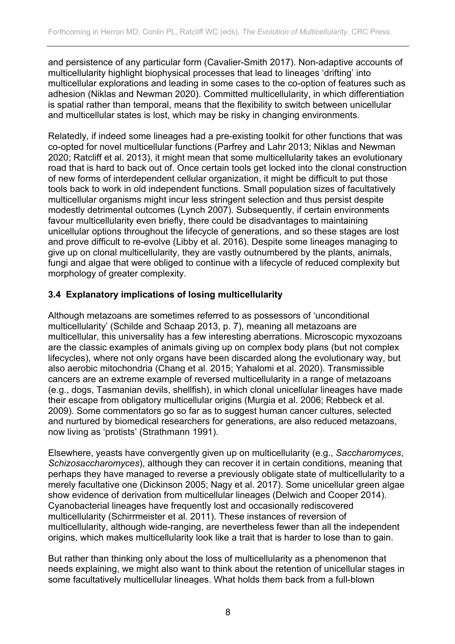and persistence of any particular form (Cavalier-Smith 2017). Non-adaptive accounts of multicellularity highlight biophysical processes that lead to lineages 'drifting' into multicellular explorations and leading in some cases to the co-option of features such as adhesion (Niklas and Newman 2020). Committed multicellularity, in which differentiation is spatial rather than temporal, means that the flexibility to switch between unicellular and multicellular states is lost, which may be risky in changing environments.

Relatedly, if indeed some lineages had a pre-existing toolkit for other functions that was co-opted for novel multicellular functions (Parfrey and Lahr 2013; Niklas and Newman 2020; Ratcliff et al. 2013), it might mean that some multicellularity takes an evolutionary road that is hard to back out of. Once certain tools get locked into the clonal construction of new forms of interdependent cellular organization, it might be difficult to put those tools back to work in old independent functions. Small population sizes of facultatively multicellular organisms might incur less stringent selection and thus persist despite modestly detrimental outcomes (Lynch 2007). Subsequently, if certain environments favour multicellularity even briefly, there could be disadvantages to maintaining unicellular options throughout the lifecycle of generations, and so these stages are lost and prove difficult to re-evolve (Libby et al. 2016). Despite some lineages managing to give up on clonal multicellularity, they are vastly outnumbered by the plants, animals, fungi and algae that were obliged to continue with a lifecycle of reduced complexity but morphology of greater complexity.

# **3.4 Explanatory implications of losing multicellularity**

Although metazoans are sometimes referred to as possessors of 'unconditional multicellularity' (Schilde and Schaap 2013, p. 7), meaning all metazoans are multicellular, this universality has a few interesting aberrations. Microscopic myxozoans are the classic examples of animals giving up on complex body plans (but not complex lifecycles), where not only organs have been discarded along the evolutionary way, but also aerobic mitochondria (Chang et al. 2015; Yahalomi et al. 2020). Transmissible cancers are an extreme example of reversed multicellularity in a range of metazoans (e.g., dogs, Tasmanian devils, shellfish), in which clonal unicellular lineages have made their escape from obligatory multicellular origins (Murgia et al. 2006; Rebbeck et al. 2009). Some commentators go so far as to suggest human cancer cultures, selected and nurtured by biomedical researchers for generations, are also reduced metazoans, now living as 'protists' (Strathmann 1991).

Elsewhere, yeasts have convergently given up on multicellularity (e.g., *Saccharomyces*, *Schizosaccharomyces*), although they can recover it in certain conditions, meaning that perhaps they have managed to reverse a previously obligate state of multicellularity to a merely facultative one (Dickinson 2005; Nagy et al. 2017). Some unicellular green algae show evidence of derivation from multicellular lineages (Delwich and Cooper 2014). Cyanobacterial lineages have frequently lost and occasionally rediscovered multicellularity (Schirrmeister et al. 2011). These instances of reversion of multicellularity, although wide-ranging, are nevertheless fewer than all the independent origins, which makes multicellularity look like a trait that is harder to lose than to gain.

But rather than thinking only about the loss of multicellularity as a phenomenon that needs explaining, we might also want to think about the retention of unicellular stages in some facultatively multicellular lineages. What holds them back from a full-blown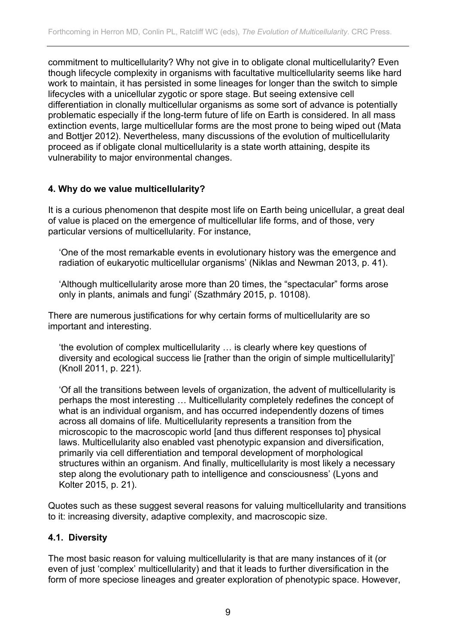commitment to multicellularity? Why not give in to obligate clonal multicellularity? Even though lifecycle complexity in organisms with facultative multicellularity seems like hard work to maintain, it has persisted in some lineages for longer than the switch to simple lifecycles with a unicellular zygotic or spore stage. But seeing extensive cell differentiation in clonally multicellular organisms as some sort of advance is potentially problematic especially if the long-term future of life on Earth is considered. In all mass extinction events, large multicellular forms are the most prone to being wiped out (Mata and Bottjer 2012). Nevertheless, many discussions of the evolution of multicellularity proceed as if obligate clonal multicellularity is a state worth attaining, despite its vulnerability to major environmental changes.

### **4. Why do we value multicellularity?**

It is a curious phenomenon that despite most life on Earth being unicellular, a great deal of value is placed on the emergence of multicellular life forms, and of those, very particular versions of multicellularity. For instance,

'One of the most remarkable events in evolutionary history was the emergence and radiation of eukaryotic multicellular organisms' (Niklas and Newman 2013, p. 41).

'Although multicellularity arose more than 20 times, the "spectacular" forms arose only in plants, animals and fungi' (Szathmáry 2015, p. 10108).

There are numerous justifications for why certain forms of multicellularity are so important and interesting.

'the evolution of complex multicellularity … is clearly where key questions of diversity and ecological success lie [rather than the origin of simple multicellularity]' (Knoll 2011, p. 221).

'Of all the transitions between levels of organization, the advent of multicellularity is perhaps the most interesting … Multicellularity completely redefines the concept of what is an individual organism, and has occurred independently dozens of times across all domains of life. Multicellularity represents a transition from the microscopic to the macroscopic world [and thus different responses to] physical laws. Multicellularity also enabled vast phenotypic expansion and diversification, primarily via cell differentiation and temporal development of morphological structures within an organism. And finally, multicellularity is most likely a necessary step along the evolutionary path to intelligence and consciousness' (Lyons and Kolter 2015, p. 21).

Quotes such as these suggest several reasons for valuing multicellularity and transitions to it: increasing diversity, adaptive complexity, and macroscopic size.

### **4.1. Diversity**

The most basic reason for valuing multicellularity is that are many instances of it (or even of just 'complex' multicellularity) and that it leads to further diversification in the form of more speciose lineages and greater exploration of phenotypic space. However,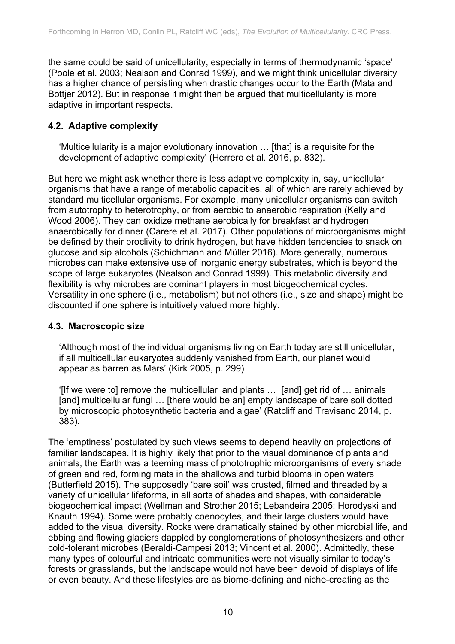the same could be said of unicellularity, especially in terms of thermodynamic 'space' (Poole et al. 2003; Nealson and Conrad 1999), and we might think unicellular diversity has a higher chance of persisting when drastic changes occur to the Earth (Mata and Bottjer 2012). But in response it might then be argued that multicellularity is more adaptive in important respects.

# **4.2. Adaptive complexity**

'Multicellularity is a major evolutionary innovation … [that] is a requisite for the development of adaptive complexity' (Herrero et al. 2016, p. 832).

But here we might ask whether there is less adaptive complexity in, say, unicellular organisms that have a range of metabolic capacities, all of which are rarely achieved by standard multicellular organisms. For example, many unicellular organisms can switch from autotrophy to heterotrophy, or from aerobic to anaerobic respiration (Kelly and Wood 2006). They can oxidize methane aerobically for breakfast and hydrogen anaerobically for dinner (Carere et al. 2017). Other populations of microorganisms might be defined by their proclivity to drink hydrogen, but have hidden tendencies to snack on glucose and sip alcohols (Schichmann and Müller 2016). More generally, numerous microbes can make extensive use of inorganic energy substrates, which is beyond the scope of large eukaryotes (Nealson and Conrad 1999). This metabolic diversity and flexibility is why microbes are dominant players in most biogeochemical cycles. Versatility in one sphere (i.e., metabolism) but not others (i.e., size and shape) might be discounted if one sphere is intuitively valued more highly.

### **4.3. Macroscopic size**

'Although most of the individual organisms living on Earth today are still unicellular, if all multicellular eukaryotes suddenly vanished from Earth, our planet would appear as barren as Mars' (Kirk 2005, p. 299)

'[If we were to] remove the multicellular land plants … [and] get rid of … animals [and] multicellular fungi ... [there would be an] empty landscape of bare soil dotted by microscopic photosynthetic bacteria and algae' (Ratcliff and Travisano 2014, p. 383).

The 'emptiness' postulated by such views seems to depend heavily on projections of familiar landscapes. It is highly likely that prior to the visual dominance of plants and animals, the Earth was a teeming mass of phototrophic microorganisms of every shade of green and red, forming mats in the shallows and turbid blooms in open waters (Butterfield 2015). The supposedly 'bare soil' was crusted, filmed and threaded by a variety of unicellular lifeforms, in all sorts of shades and shapes, with considerable biogeochemical impact (Wellman and Strother 2015; Lebandeira 2005; Horodyski and Knauth 1994). Some were probably coenocytes, and their large clusters would have added to the visual diversity. Rocks were dramatically stained by other microbial life, and ebbing and flowing glaciers dappled by conglomerations of photosynthesizers and other cold-tolerant microbes (Beraldi-Campesi 2013; Vincent et al. 2000). Admittedly, these many types of colourful and intricate communities were not visually similar to today's forests or grasslands, but the landscape would not have been devoid of displays of life or even beauty. And these lifestyles are as biome-defining and niche-creating as the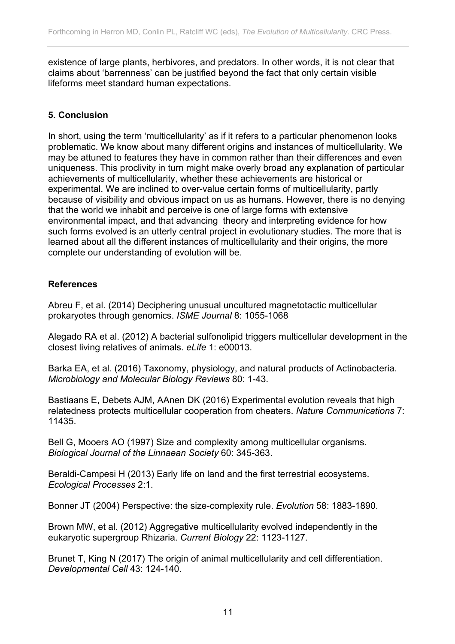existence of large plants, herbivores, and predators. In other words, it is not clear that claims about 'barrenness' can be justified beyond the fact that only certain visible lifeforms meet standard human expectations.

# **5. Conclusion**

In short, using the term 'multicellularity' as if it refers to a particular phenomenon looks problematic. We know about many different origins and instances of multicellularity. We may be attuned to features they have in common rather than their differences and even uniqueness. This proclivity in turn might make overly broad any explanation of particular achievements of multicellularity, whether these achievements are historical or experimental. We are inclined to over-value certain forms of multicellularity, partly because of visibility and obvious impact on us as humans. However, there is no denying that the world we inhabit and perceive is one of large forms with extensive environmental impact, and that advancing theory and interpreting evidence for how such forms evolved is an utterly central project in evolutionary studies. The more that is learned about all the different instances of multicellularity and their origins, the more complete our understanding of evolution will be.

# **References**

Abreu F, et al. (2014) Deciphering unusual uncultured magnetotactic multicellular prokaryotes through genomics. *ISME Journal* 8: 1055-1068

Alegado RA et al. (2012) A bacterial sulfonolipid triggers multicellular development in the closest living relatives of animals. *eLife* 1: e00013.

Barka EA, et al. (2016) Taxonomy, physiology, and natural products of Actinobacteria. *Microbiology and Molecular Biology Reviews* 80: 1-43.

Bastiaans E, Debets AJM, AAnen DK (2016) Experimental evolution reveals that high relatedness protects multicellular cooperation from cheaters. *Nature Communications* 7: 11435.

Bell G, Mooers AO (1997) Size and complexity among multicellular organisms. *Biological Journal of the Linnaean Society* 60: 345-363.

Beraldi-Campesi H (2013) Early life on land and the first terrestrial ecosystems. *Ecological Processes* 2:1.

Bonner JT (2004) Perspective: the size-complexity rule. *Evolution* 58: 1883-1890.

Brown MW, et al. (2012) Aggregative multicellularity evolved independently in the eukaryotic supergroup Rhizaria. *Current Biology* 22: 1123-1127.

Brunet T, King N (2017) The origin of animal multicellularity and cell differentiation. *Developmental Cell* 43: 124-140.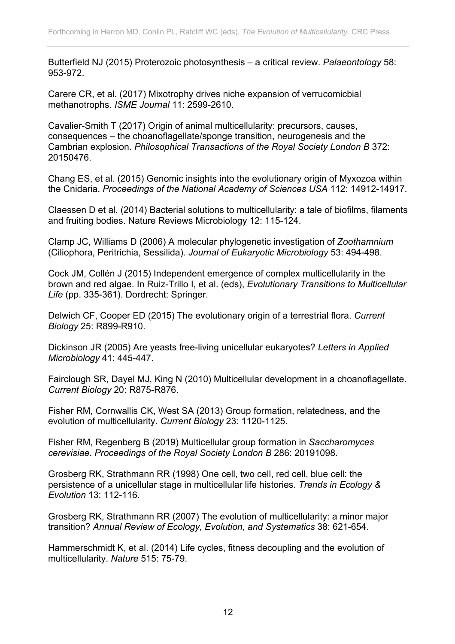Butterfield NJ (2015) Proterozoic photosynthesis – a critical review. *Palaeontology* 58: 953-972.

Carere CR, et al. (2017) Mixotrophy drives niche expansion of verrucomicbial methanotrophs. *ISME Journal* 11: 2599-2610.

Cavalier-Smith T (2017) Origin of animal multicellularity: precursors, causes, consequences – the choanoflagellate/sponge transition, neurogenesis and the Cambrian explosion. *Philosophical Transactions of the Royal Society London B* 372: 20150476.

Chang ES, et al. (2015) Genomic insights into the evolutionary origin of Myxozoa within the Cnidaria. *Proceedings of the National Academy of Sciences USA* 112: 14912-14917.

Claessen D et al. (2014) Bacterial solutions to multicellularity: a tale of biofilms, filaments and fruiting bodies. Nature Reviews Microbiology 12: 115-124.

Clamp JC, Williams D (2006) A molecular phylogenetic investigation of *Zoothamnium* (Ciliophora, Peritrichia, Sessilida). *Journal of Eukaryotic Microbiology* 53: 494-498.

Cock JM, Collén J (2015) Independent emergence of complex multicellularity in the brown and red algae. In Ruiz-Trillo I, et al. (eds), *Evolutionary Transitions to Multicellular Life* (pp. 335-361). Dordrecht: Springer.

Delwich CF, Cooper ED (2015) The evolutionary origin of a terrestrial flora. *Current Biology* 25: R899-R910.

Dickinson JR (2005) Are yeasts free-living unicellular eukaryotes? *Letters in Applied Microbiology* 41: 445-447.

Fairclough SR, Dayel MJ, King N (2010) Multicellular development in a choanoflagellate. *Current Biology* 20: R875-R876.

Fisher RM, Cornwallis CK, West SA (2013) Group formation, relatedness, and the evolution of multicellularity. *Current Biology* 23: 1120-1125.

Fisher RM, Regenberg B (2019) Multicellular group formation in *Saccharomyces cerevisiae*. *Proceedings of the Royal Society London B* 286: 20191098.

Grosberg RK, Strathmann RR (1998) One cell, two cell, red cell, blue cell: the persistence of a unicellular stage in multicellular life histories. *Trends in Ecology & Evolution* 13: 112-116.

Grosberg RK, Strathmann RR (2007) The evolution of multicellularity: a minor major transition? *Annual Review of Ecology, Evolution, and Systematics* 38: 621-654.

Hammerschmidt K, et al. (2014) Life cycles, fitness decoupling and the evolution of multicellularity. *Nature* 515: 75-79.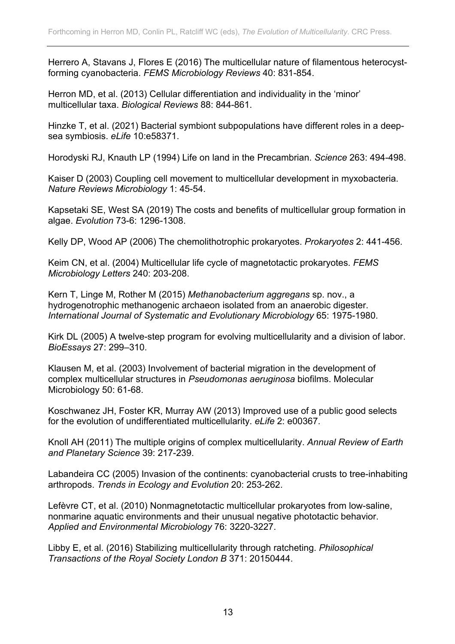Herrero A, Stavans J, Flores E (2016) The multicellular nature of filamentous heterocystforming cyanobacteria. *FEMS Microbiology Reviews* 40: 831-854.

Herron MD, et al. (2013) Cellular differentiation and individuality in the 'minor' multicellular taxa. *Biological Reviews* 88: 844-861.

Hinzke T, et al. (2021) Bacterial symbiont subpopulations have different roles in a deepsea symbiosis. *eLife* 10:e58371.

Horodyski RJ, Knauth LP (1994) Life on land in the Precambrian. *Science* 263: 494-498.

Kaiser D (2003) Coupling cell movement to multicellular development in myxobacteria. *Nature Reviews Microbiology* 1: 45-54.

Kapsetaki SE, West SA (2019) The costs and benefits of multicellular group formation in algae. *Evolution* 73-6: 1296-1308.

Kelly DP, Wood AP (2006) The chemolithotrophic prokaryotes. *Prokaryotes* 2: 441-456.

Keim CN, et al. (2004) Multicellular life cycle of magnetotactic prokaryotes. *FEMS Microbiology Letters* 240: 203-208.

Kern T, Linge M, Rother M (2015) *Methanobacterium aggregans* sp. nov., a hydrogenotrophic methanogenic archaeon isolated from an anaerobic digester. *International Journal of Systematic and Evolutionary Microbiology* 65: 1975-1980.

Kirk DL (2005) A twelve-step program for evolving multicellularity and a division of labor. *BioEssays* 27: 299–310.

Klausen M, et al. (2003) Involvement of bacterial migration in the development of complex multicellular structures in *Pseudomonas aeruginosa* biofilms. Molecular Microbiology 50: 61-68.

Koschwanez JH, Foster KR, Murray AW (2013) Improved use of a public good selects for the evolution of undifferentiated multicellularity. *eLife* 2: e00367.

Knoll AH (2011) The multiple origins of complex multicellularity. *Annual Review of Earth and Planetary Science* 39: 217-239.

Labandeira CC (2005) Invasion of the continents: cyanobacterial crusts to tree-inhabiting arthropods. *Trends in Ecology and Evolution* 20: 253-262.

Lefèvre CT, et al. (2010) Nonmagnetotactic multicellular prokaryotes from low-saline, nonmarine aquatic environments and their unusual negative phototactic behavior. *Applied and Environmental Microbiology* 76: 3220-3227.

Libby E, et al. (2016) Stabilizing multicellularity through ratcheting. *Philosophical Transactions of the Royal Society London B* 371: 20150444.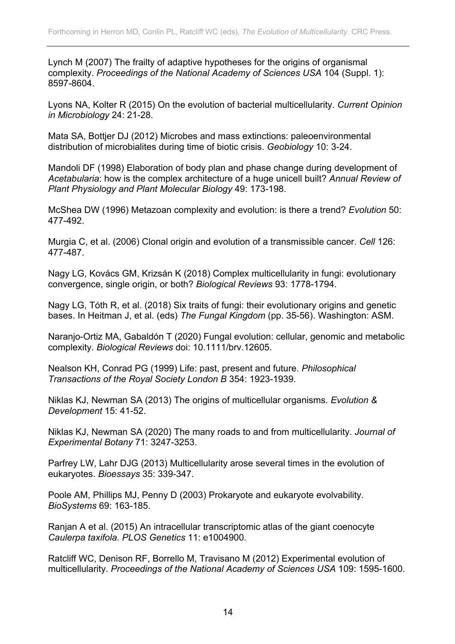Lynch M (2007) The frailty of adaptive hypotheses for the origins of organismal complexity. *Proceedings of the National Academy of Sciences USA* 104 (Suppl. 1): 8597-8604.

Lyons NA, Kolter R (2015) On the evolution of bacterial multicellularity. *Current Opinion in Microbiology* 24: 21-28.

Mata SA, Bottjer DJ (2012) Microbes and mass extinctions: paleoenvironmental distribution of microbialites during time of biotic crisis. *Geobiology* 10: 3-24.

Mandoli DF (1998) Elaboration of body plan and phase change during development of *Acetabularia*: how is the complex architecture of a huge unicell built? *Annual Review of Plant Physiology and Plant Molecular Biology* 49: 173-198.

McShea DW (1996) Metazoan complexity and evolution: is there a trend? *Evolution* 50: 477-492.

Murgia C, et al. (2006) Clonal origin and evolution of a transmissible cancer. *Cell* 126: 477-487.

Nagy LG, Kovács GM, Krizsán K (2018) Complex multicellularity in fungi: evolutionary convergence, single origin, or both? *Biological Reviews* 93: 1778-1794.

Nagy LG, Tóth R, et al. (2018) Six traits of fungi: their evolutionary origins and genetic bases. In Heitman J, et al. (eds) *The Fungal Kingdom* (pp. 35-56). Washington: ASM.

Naranjo-Ortiz MA, Gabaldón T (2020) Fungal evolution: cellular, genomic and metabolic complexity. *Biological Reviews* doi: 10.1111/brv.12605.

Nealson KH, Conrad PG (1999) Life: past, present and future. *Philosophical Transactions of the Royal Society London B* 354: 1923-1939.

Niklas KJ, Newman SA (2013) The origins of multicellular organisms. *Evolution & Development* 15: 41-52.

Niklas KJ, Newman SA (2020) The many roads to and from multicellularity. *Journal of Experimental Botany* 71: 3247-3253.

Parfrey LW, Lahr DJG (2013) Multicellularity arose several times in the evolution of eukaryotes. *Bioessays* 35: 339-347.

Poole AM, Phillips MJ, Penny D (2003) Prokaryote and eukaryote evolvability. *BioSystems* 69: 163-185.

Ranjan A et al. (2015) An intracellular transcriptomic atlas of the giant coenocyte *Caulerpa taxifola*. *PLOS Genetics* 11: e1004900.

Ratcliff WC, Denison RF, Borrello M, Travisano M (2012) Experimental evolution of multicellularity. *Proceedings of the National Academy of Sciences USA* 109: 1595-1600.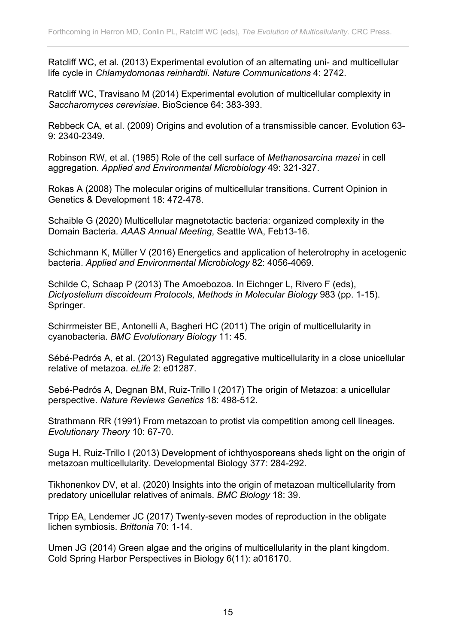Ratcliff WC, et al. (2013) Experimental evolution of an alternating uni- and multicellular life cycle in *Chlamydomonas reinhardtii*. *Nature Communications* 4: 2742.

Ratcliff WC, Travisano M (2014) Experimental evolution of multicellular complexity in *Saccharomyces cerevisiae*. BioScience 64: 383-393.

Rebbeck CA, et al. (2009) Origins and evolution of a transmissible cancer. Evolution 63- 9: 2340-2349.

Robinson RW, et al. (1985) Role of the cell surface of *Methanosarcina mazei* in cell aggregation. *Applied and Environmental Microbiology* 49: 321-327.

Rokas A (2008) The molecular origins of multicellular transitions. Current Opinion in Genetics & Development 18: 472-478.

Schaible G (2020) Multicellular magnetotactic bacteria: organized complexity in the Domain Bacteria*. AAAS Annual Meeting*, Seattle WA, Feb13-16.

Schichmann K, Müller V (2016) Energetics and application of heterotrophy in acetogenic bacteria. *Applied and Environmental Microbiology* 82: 4056-4069.

Schilde C, Schaap P (2013) The Amoebozoa. In Eichnger L, Rivero F (eds), *Dictyostelium discoideum Protocols, Methods in Molecular Biology* 983 (pp. 1-15). Springer.

Schirrmeister BE, Antonelli A, Bagheri HC (2011) The origin of multicellularity in cyanobacteria. *BMC Evolutionary Biology* 11: 45.

Sébé-Pedrós A, et al. (2013) Regulated aggregative multicellularity in a close unicellular relative of metazoa. *eLife* 2: e01287.

Sebé-Pedrós A, Degnan BM, Ruiz-Trillo I (2017) The origin of Metazoa: a unicellular perspective. *Nature Reviews Genetics* 18: 498-512.

Strathmann RR (1991) From metazoan to protist via competition among cell lineages. *Evolutionary Theory* 10: 67-70.

Suga H, Ruiz-Trillo I (2013) Development of ichthyosporeans sheds light on the origin of metazoan multicellularity. Developmental Biology 377: 284-292.

Tikhonenkov DV, et al. (2020) Insights into the origin of metazoan multicellularity from predatory unicellular relatives of animals. *BMC Biology* 18: 39.

Tripp EA, Lendemer JC (2017) Twenty-seven modes of reproduction in the obligate lichen symbiosis. *Brittonia* 70: 1-14.

Umen JG (2014) Green algae and the origins of multicellularity in the plant kingdom. Cold Spring Harbor Perspectives in Biology 6(11): a016170.